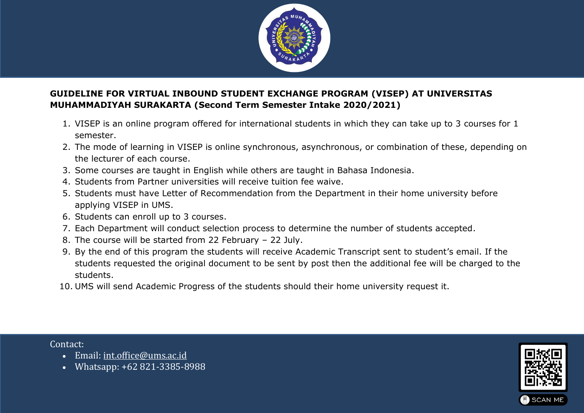

## **GUIDELINE FOR VIRTUAL INBOUND STUDENT EXCHANGE PROGRAM (VISEP) AT UNIVERSITAS MUHAMMADIYAH SURAKARTA (Second Term Semester Intake 2020/2021)**

- 1. VISEP is an online program offered for international students in which they can take up to 3 courses for 1 semester.
- 2. The mode of learning in VISEP is online synchronous, asynchronous, or combination of these, depending on the lecturer of each course.
- 3. Some courses are taught in English while others are taught in Bahasa Indonesia.
- 4. Students from Partner universities will receive tuition fee waive.
- 5. Students must have Letter of Recommendation from the Department in their home university before applying VISEP in UMS.
- 6. Students can enroll up to 3 courses.
- 7. Each Department will conduct selection process to determine the number of students accepted.
- 8. The course will be started from 22 February 22 July.
- 9. By the end of this program the students will receive Academic Transcript sent to student's email. If the students requested the original document to be sent by post then the additional fee will be charged to the students.
- 10. UMS will send Academic Progress of the students should their home university request it.

Contact:

- Email: [int.office@ums.ac.id](mailto:int.office@ums.ac.id)
- Whatsapp: +62 821-3385-8988

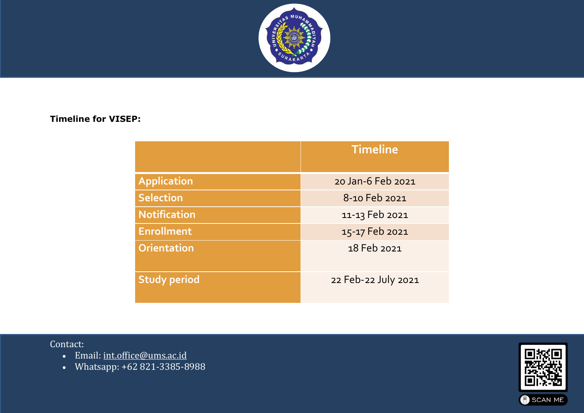

## **Timeline for VISEP:**

|                     | <b>Timeline</b>     |
|---------------------|---------------------|
| <b>Application</b>  | 20 Jan-6 Feb 2021   |
| <b>Selection</b>    | 8-10 Feb 2021       |
| <b>Notification</b> | 11-13 Feb 2021      |
| <b>Enrollment</b>   | 15-17 Feb 2021      |
| <b>Orientation</b>  | 18 Feb 2021         |
| <b>Study period</b> | 22 Feb-22 July 2021 |

Contact:

- Email: [int.office@ums.ac.id](mailto:int.office@ums.ac.id)
- Whatsapp: +62 821-3385-8988